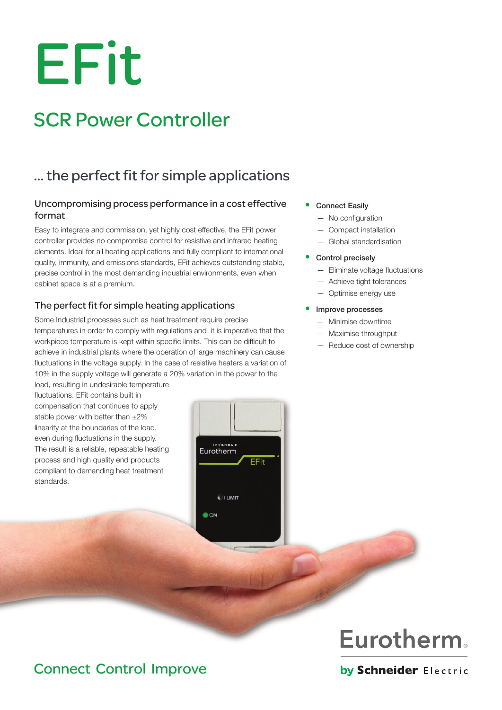# EFit

# SCR Power Controller

# … the perfect fit for simple applications

#### Uncompromising process performance in a cost effective format

Easy to integrate and commission, yet highly cost effective, the EFit power controller provides no compromise control for resistive and infrared heating elements. Ideal for all heating applications and fully compliant to international quality, immunity, and emissions standards, EFit achieves outstanding stable, precise control in the most demanding industrial environments, even when cabinet space is at a premium.

#### The perfect fit for simple heating applications

Some Industrial processes such as heat treatment require precise temperatures in order to comply with regulations and it is imperative that the workpiece temperature is kept within specific limits. This can be difficult to achieve in industrial plants where the operation of large machinery can cause fluctuations in the voltage supply. In the case of resistive heaters a variation of 10% in the supply voltage will generate a 20% variation in the power to the

load, resulting in undesirable temperature fluctuations. EFit contains built in compensation that continues to apply stable power with better than  $\pm 2\%$ linearity at the boundaries of the load, even during fluctuations in the supply. The result is a reliable, repeatable heating process and high quality end products compliant to demanding heat treatment standards.

**Connect Easily** 

- No configuration
- Compact installation
- Global standardisation

#### Control precisely

- Eliminate voltage fluctuations
- Achieve tight tolerances
- Optimise energy use

#### Improve processes

- Minimise downtime
- Maximise throughput
- Reduce cost of ownership



# Connect Control Improve

by Schneider Electric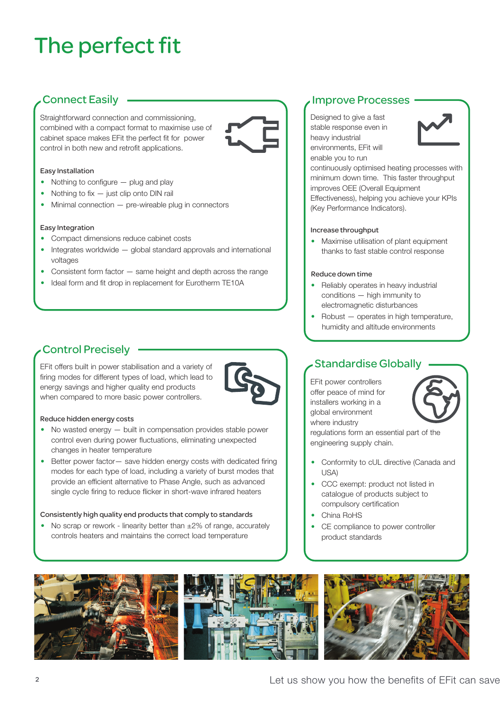# The perfect fit

## Connect Easily

Straightforward connection and commissioning, combined with a compact format to maximise use of cabinet space makes EFit the perfect fit for power control in both new and retrofit applications.



#### Easy Installation

- Nothing to configure plug and play
- Nothing to fix just clip onto DIN rail
- Minimal connection pre-wireable plug in connectors

#### Easy Integration

- Compact dimensions reduce cabinet costs
- Integrates worldwide global standard approvals and international voltages
- Consistent form factor same height and depth across the range
- Ideal form and fit drop in replacement for Eurotherm TE10A

## Control Precisely

EFit offers built in power stabilisation and a variety of firing modes for different types of load, which lead to energy savings and higher quality end products when compared to more basic power controllers.



#### Reduce hidden energy costs

- No wasted energy built in compensation provides stable power control even during power fluctuations, eliminating unexpected changes in heater temperature
- Better power factor save hidden energy costs with dedicated firing modes for each type of load, including a variety of burst modes that provide an efficient alternative to Phase Angle, such as advanced single cycle firing to reduce flicker in short-wave infrared heaters

#### Consistently high quality end products that comply to standards

• No scrap or rework - linearity better than  $\pm 2\%$  of range, accurately controls heaters and maintains the correct load temperature

#### Improve Processes

Designed to give a fast stable response even in heavy industrial environments, EFit will enable you to run



continuously optimised heating processes with minimum down time. This faster throughput improves OEE (Overall Equipment Effectiveness), helping you achieve your KPIs (Key Performance Indicators).

#### Increase throughput

• Maximise utilisation of plant equipment thanks to fast stable control response

#### Reduce down time

- Reliably operates in heavy industrial conditions — high immunity to electromagnetic disturbances
- Robust operates in high temperature, humidity and altitude environments

#### Standardise Globally

EFit power controllers offer peace of mind for installers working in a global environment where industry



regulations form an essential part of the engineering supply chain.

- Conformity to cUL directive (Canada and USA)
- CCC exempt: product not listed in catalogue of products subject to compulsory certification
- China RoHS
- CE compliance to power controller product standards





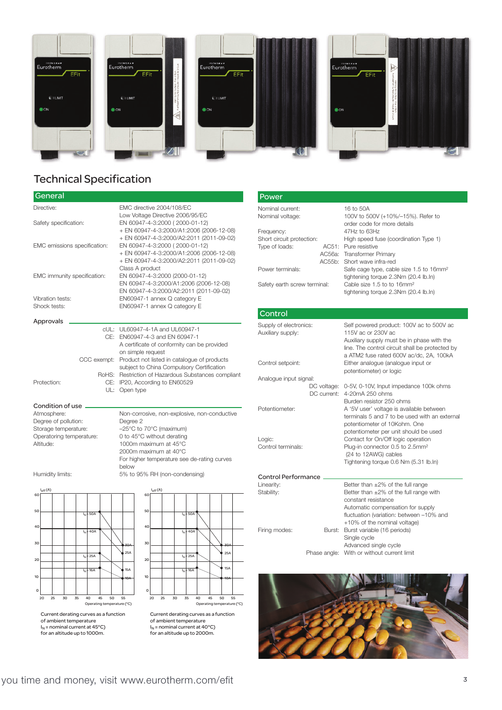

### Technical Specification

| General                      |                                                                                                                |  |
|------------------------------|----------------------------------------------------------------------------------------------------------------|--|
| Directive:                   | EMC directive 2004/108/EC                                                                                      |  |
| Safety specification:        | Low Voltage Directive 2006/95/EC<br>EN 60947-4-3:2000 (2000-01-12)<br>+ EN 60947-4-3:2000/A1:2006 (2006-12-08) |  |
| EMC emissions specification: | + EN 60947-4-3:2000/A2:2011 (2011-09-02)<br>EN 60947-4-3:2000 (2000-01-12)                                     |  |
|                              | + EN 60947-4-3:2000/A1:2006 (2006-12-08)                                                                       |  |
|                              | + EN 60947-4-3:2000/A2:2011 (2011-09-02)<br>Class A product                                                    |  |
| EMC immunity specification:  | EN 60947-4-3:2000 (2000-01-12)                                                                                 |  |
|                              | EN 60947-4-3:2000/A1:2006 (2006-12-08)                                                                         |  |
| Vibration tests:             | EN 60947-4-3:2000/A2:2011 (2011-09-02)<br>EN60947-1 annex Q category E                                         |  |
| Shock tests:                 | EN60947-1 annex Q category E                                                                                   |  |
| Approvals                    |                                                                                                                |  |
|                              | cUL: UL60947-4-1A and UL60947-1                                                                                |  |
|                              | CE: EN60947-4-3 and EN 60947-1                                                                                 |  |
|                              | A certificate of conformity can be provided                                                                    |  |
| CCC exempt:                  | on simple request<br>Product not listed in catalogue of products                                               |  |
|                              | subject to China Compulsory Certification                                                                      |  |
|                              | RoHS: Restriction of Hazardous Substances compliant                                                            |  |
| Protection:<br>CE:           | IP20, According to EN60529                                                                                     |  |
| UL:                          | Open type                                                                                                      |  |

#### Condition of use

Degree of pollution:<br>Storage temperature:

Atmosphere: Non-corrosive, non-explosive, non-conductive<br>
Degree 2<br>
Degree 2 Storage temperature: –25°C to 70°C (maximum)<br>Operatoring temperature: 0 to 45°C without derating 0 to 45°C without derating Altitude: 1000m maximum at 45°C 2000m maximum at 40°C For higher temperature see de-rating curves below Humidity limits: 5% to 95% RH (non-condensing)



of ambient temperature<br>I<sub>N</sub> = nominal current at 45°C) for an altitude up to 1000m.



Current derating curves as a function of ambient temperature  $I_N$  = nominal current at 40°C) for an altitude up to 2000m.

| Power                        |         |                                                                                             |
|------------------------------|---------|---------------------------------------------------------------------------------------------|
| Nominal current:             |         | 16 to 50A                                                                                   |
| Nominal voltage:             |         | 100V to 500V (+10%/-15%). Refer to<br>order code for more details                           |
| Frequency:                   |         | 47Hz to 63Hz                                                                                |
| Short circuit protection:    |         | High speed fuse (coordination Type 1)                                                       |
| Type of loads:               |         | AC51: Pure resistive                                                                        |
|                              |         | AC56a: Transformer Primary                                                                  |
|                              | AC.55h. | Short wave infra-red                                                                        |
| Power terminals:             |         | Safe cage type, cable size 1.5 to 16mm <sup>2</sup><br>tightening torque 2.3Nm (20.4 lb.ln) |
| Safety earth screw terminal: |         | Cable size 1.5 to to 16mm <sup>2</sup><br>tightening torque 2.3Nm (20.4 lb.ln)              |
|                              |         |                                                                                             |

#### Control Supply of electronics: Self powered product: 100V ac to 500V ac Auxiliary supply: 115V ac or 230V ac Auxiliary supply must be in phase with the line. The control circuit shall be protected by a ATM2 fuse rated 600V ac/dc, 2A, 100kA Control setpoint: Either analogue (analogue input or potentiometer) or logic Analogue input signal: DC voltage: 0-5V, 0-10V, Input impedance 100k ohms DC current: 4-20mA 250 ohms Burden resistor 250 ohms Potentiometer: A '5V user' voltage is available between terminals 5 and 7 to be used with an external potentiometer of 10Kohm. One potentiometer per unit should be used Logic: Contact for On/Off logic operation<br>
Control terminals: Plug-in connector 0.5 to 2.5mm<sup>2</sup> Plug-in connector 0.5 to 2.5mm<sup>2</sup> (24 to 12AWG) cables Tightening torque 0.6 Nm (5.31 lb.In) Control Performance Linearity: Better than  $\pm 2\%$  of the full range<br>Stability: Better than  $\pm 2\%$  of the full range Better than  $\pm 2\%$  of the full range with constant resistance Automatic compensation for supply fluctuation (variation: between –10% and +10% of the nominal voltage) Firing modes: Burst: Burst variable (16 periods)



Single cycle